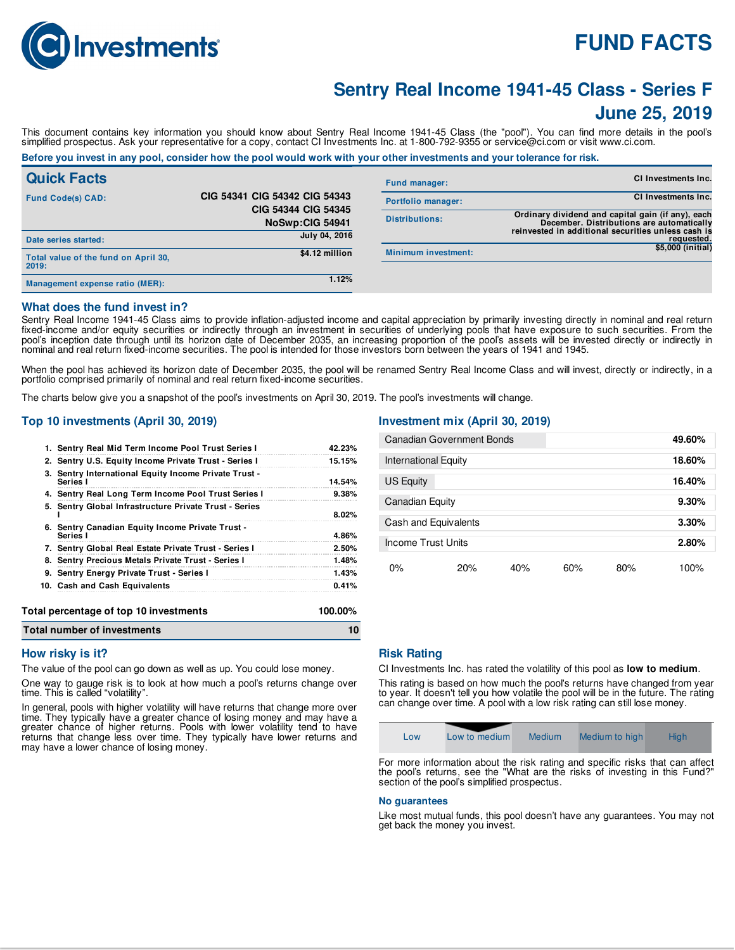

# **FUND FACTS**

# **Sentry Real Income 1941-45 Class - Series F**

### **June 25, 2019**

This document contains key information you should know about Sentry Real Income 1941-45 Class (the "pool"). You can find more details in the pool's simplified prospectus. Ask your representative for a copy, contact CI Investments Inc. at 1-800-792-9355 or service@ci.com or visit www.ci.com.

#### Before you invest in any pool, consider how the pool would work with your other investments and your tolerance for risk.

| <b>Quick Facts</b>                            |                                        | <b>Fund manager:</b>       | <b>CI Investments Inc.</b>                                                                                                                           |
|-----------------------------------------------|----------------------------------------|----------------------------|------------------------------------------------------------------------------------------------------------------------------------------------------|
| <b>Fund Code(s) CAD:</b>                      | CIG 54341 CIG 54342 CIG 54343          | Portfolio manager:         | <b>CI Investments Inc.</b>                                                                                                                           |
|                                               | CIG 54344 CIG 54345<br>NoSwp:CIG 54941 | <b>Distributions:</b>      | Ordinary dividend and capital gain (if any), each<br>December. Distributions are automatically<br>reinvested in additional securities unless cash is |
| Date series started:                          | July 04, 2016                          |                            | requested.                                                                                                                                           |
| Total value of the fund on April 30,<br>2019: | \$4.12 million                         | <b>Minimum investment:</b> | \$5,000 (initial)                                                                                                                                    |
| Management expense ratio (MER):               | 1.12%                                  |                            |                                                                                                                                                      |

#### **What does the fund invest in?**

Sentry Real Income 1941-45 Class aims to provide inflation-adjusted income and capital appreciation by primarily investing directly in nominal and real return fixed-income and/or equity securities or indirectly through an investment in securities of underlying pools that have exposure to such securities. From the pool's inception date through until its horizon date of December 2035, an increasing proportion of the pool's assets will be invested directly or indirectly in nominal and real return fixed-income securities. The pool is intended for those investors born between the years of 1941 and 1945.

When the pool has achieved its horizon date of December 2035, the pool will be renamed Sentry Real Income Class and will invest, directly or indirectly, in a portfolio comprised primarily of nominal and real return fixed-income securities.

The charts below give you a snapshot of the pool's investments on April 30, 2019. The pool's investments will change.

#### **Top 10 investments (April 30, 2019)**

| Total number of investments                                       |         |
|-------------------------------------------------------------------|---------|
| Total percentage of top 10 investments                            | 100.00% |
| 10. Cash and Cash Equivalents                                     | 0.41%   |
| 9. Sentry Energy Private Trust - Series I                         | 1.43%   |
| 8. Sentry Precious Metals Private Trust - Series I                | 1.48%   |
| 7. Sentry Global Real Estate Private Trust - Series I             | 2.50%   |
| 6. Sentry Canadian Equity Income Private Trust -<br>Series I      | 4.86%   |
| 5. Sentry Global Infrastructure Private Trust - Series            | 8.02%   |
| 4. Sentry Real Long Term Income Pool Trust Series I               | 9.38%   |
| 3. Sentry International Equity Income Private Trust -<br>Series I | 14.54%  |
| 2. Sentry U.S. Equity Income Private Trust - Series I             | 15.15%  |
| 1. Sentry Real Mid Term Income Pool Trust Series I                | 42.23%  |

### **Investment mix (April 30, 2019)**

| <b>Canadian Government Bonds</b> |     |     | 49.60% |        |
|----------------------------------|-----|-----|--------|--------|
| <b>International Equity</b>      |     |     | 18.60% |        |
| US Equity                        |     |     |        | 16.40% |
| <b>Canadian Equity</b>           |     |     | 9.30%  |        |
| Cash and Equivalents             |     |     | 3.30%  |        |
| Income Trust Units               |     |     |        | 2.80%  |
| 0%<br>20%                        | 40% | 60% | 80%    | 100%   |

#### **How risky is it?**

The value of the pool can go down as well as up. You could lose money.

One way to gauge risk is to look at how much a pool's returns change over time. This is called "volatility".

In general, pools with higher volatility will have returns that change more over time. They typically have a greater chance of losing money and may have a greater chance of higher returns. Pools with lower volatility tend to have returns that change less over time. They typically have lower returns and may have a lower chance of losing money.

#### **Risk Rating**

CI Investments Inc. has rated the volatility of this pool as **low to medium**.

This rating is based on how much the pool's returns have changed from year to year. It doesn't tell you how volatile the pool will be in the future. The rating can change over time. A pool with a low risk rating can still lose money.



the pool's returns, see the "What are the risks of investing in this Fund? section of the pool's simplified prospectus.

#### **No guarantees**

Like most mutual funds, this pool doesn't have any guarantees. You may not get back the money you invest.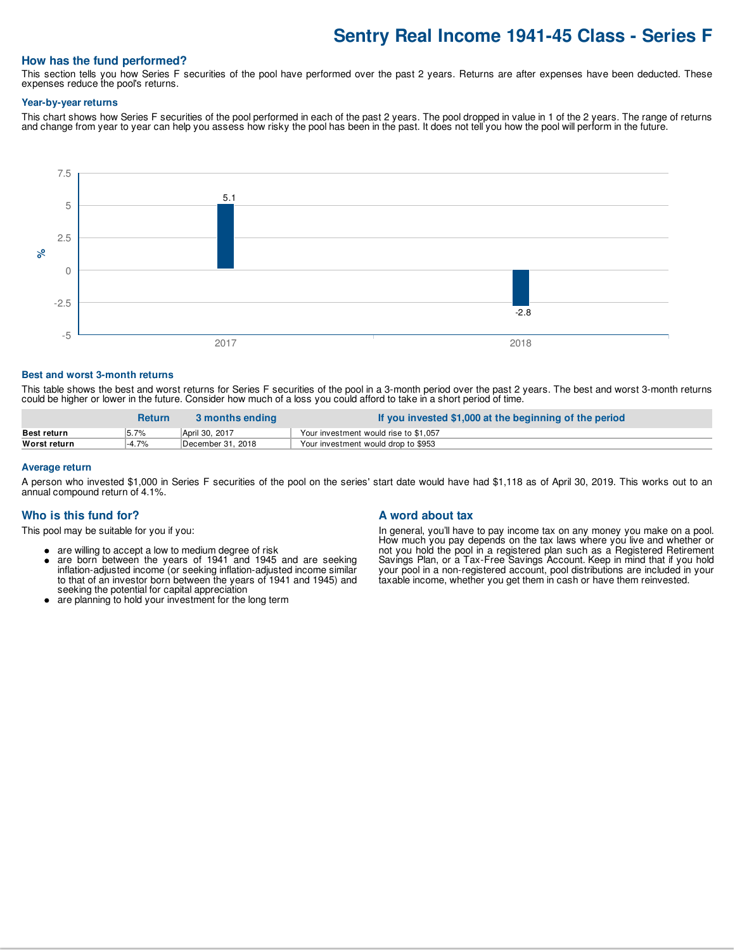### **Sentry Real Income 1941-45 Class - Series F**

#### **How has the fund performed?**

This section tells you how Series F securities of the pool have performed over the past 2 years. Returns are after expenses have been deducted. These expenses reduce the pool's returns.

#### **Year-by-year returns**

This chart shows how Series F securities of the pool performed in each of the past 2 years. The pool dropped in value in 1 of the 2 years. The range of returns and change from year to year can help you assess how risky the pool has been in the past. It does not tell you how the pool will perform in the future.



#### **Best and worst 3-month returns**

This table shows the best and worst returns for Series F securities of the pool in a 3-month period over the past 2 years. The best and worst 3-month returns could be higher or lower in the future. Consider how much of a loss you could afford to take in a short period of time.

|                    | <b>Return</b> | 3 months ending   | ∕ If you invested \$1,000 at the beginning of the period |
|--------------------|---------------|-------------------|----------------------------------------------------------|
| <b>Best return</b> | 5.7%          | April 30, 2017    | Your investment would rise to \$1,057                    |
| Worst return       | -4.7%         | December 31, 2018 | Your investment would drop to \$953                      |

#### **Average return**

A person who invested \$1,000 in Series F securities of the pool on the series' start date would have had \$1,118 as of April 30, 2019. This works out to an annual compound return of 4.1%.

#### **Who is this fund for?**

This pool may be suitable for you if you:

- are willing to accept a low to medium degree of risk
- $\bullet$ are born between the years of 1941 and 1945 and are seeking inflation-adjusted income (or seeking inflation-adjusted income similar to that of an investor born between the years of 1941 and 1945) and seeking the potential for capital appreciation
- are planning to hold your investment for the long term

#### **A word about tax**

In general, you'll have to pay income tax on any money you make on a pool. How much you pay depends on the tax laws where you live and whether or not you hold the pool in a registered plan such as a Registered Retirement Savings Plan, or a Tax-Free Savings Account. Keep in mind that if you hold your pool in a non-registered account, pool distributions are included in your taxable income, whether you get them in cash or have them reinvested.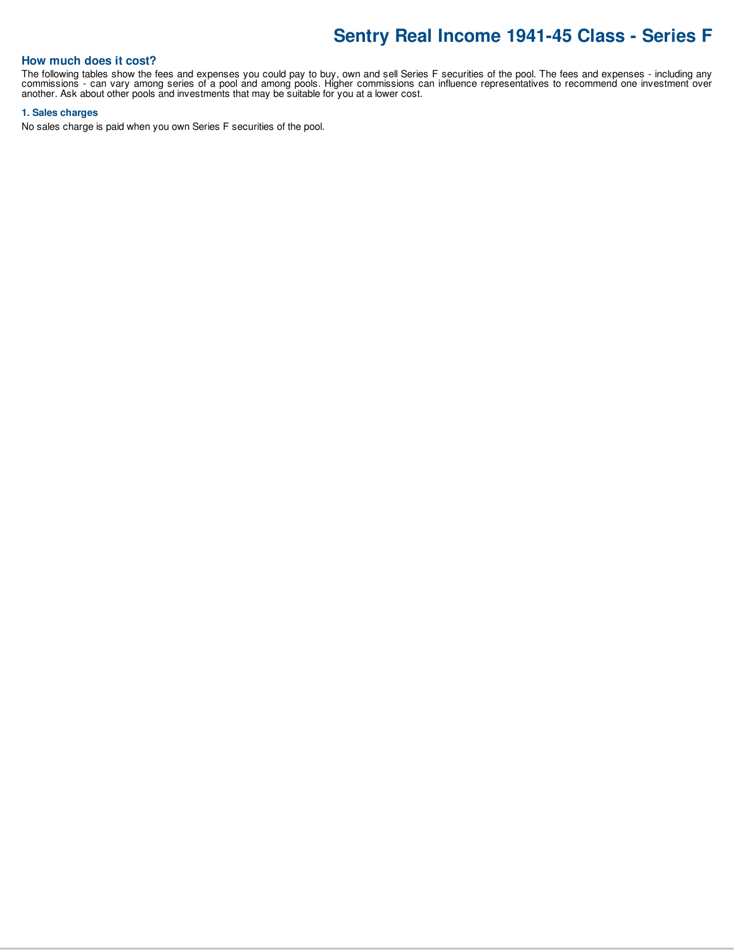## **Sentry Real Income 1941-45 Class - Series F**

#### **How much does it cost?**

The following tables show the fees and expenses you could pay to buy, own and sell Series F securities of the pool. The fees and expenses - including any commissions - can vary among series of a pool and among pools. Higher commissions can influence representatives to recommend one investment over another. Ask about other pools and investments that may be suitable for you at a lower cost.

#### **1. Sales charges**

No sales charge is paid when you own Series F securities of the pool.